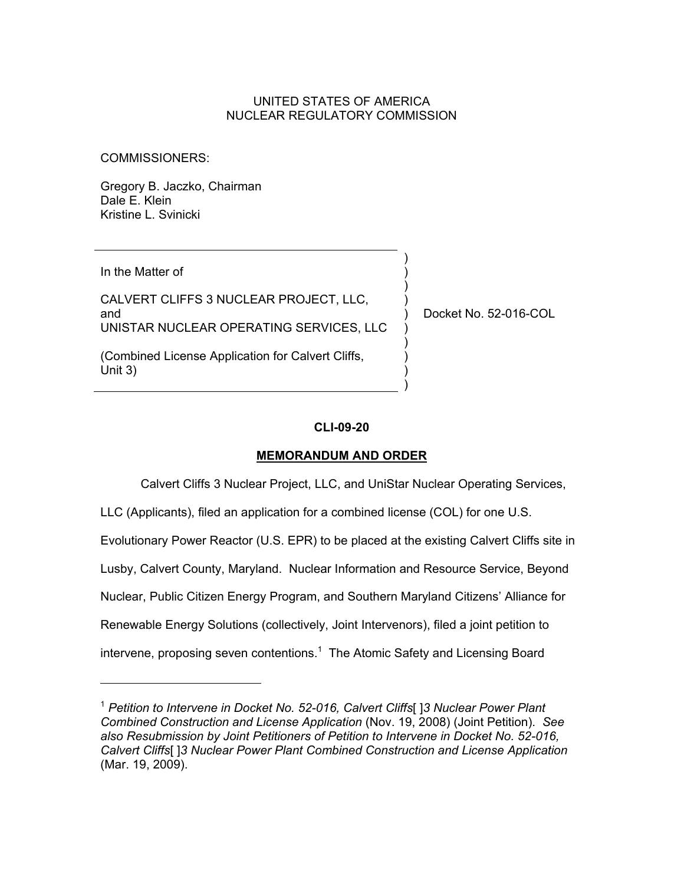### UNITED STATES OF AMERICA NUCLEAR REGULATORY COMMISSION

COMMISSIONERS:

Gregory B. Jaczko, Chairman Dale E. Klein Kristine L. Svinicki

In the Matter of

-

CALVERT CLIFFS 3 NUCLEAR PROJECT, LLC, and UNISTAR NUCLEAR OPERATING SERVICES, LLC

(Combined License Application for Calvert Cliffs, Unit 3)

Docket No. 52-016-COL

) ) ) ) ) ) ) ) ) )

## **CLI-09-20**

## **MEMORANDUM AND ORDER**

Calvert Cliffs 3 Nuclear Project, LLC, and UniStar Nuclear Operating Services,

LLC (Applicants), filed an application for a combined license (COL) for one U.S.

Evolutionary Power Reactor (U.S. EPR) to be placed at the existing Calvert Cliffs site in

Lusby, Calvert County, Maryland. Nuclear Information and Resource Service, Beyond

Nuclear, Public Citizen Energy Program, and Southern Maryland Citizens' Alliance for

Renewable Energy Solutions (collectively, Joint Intervenors), filed a joint petition to

intervene, proposing seven contentions. $1$  The Atomic Safety and Licensing Board

<sup>1</sup> *Petition to Intervene in Docket No. 52-016, Calvert Cliffs*[ ]*3 Nuclear Power Plant Combined Construction and License Application* (Nov. 19, 2008) (Joint Petition). *See also Resubmission by Joint Petitioners of Petition to Intervene in Docket No. 52-016, Calvert Cliffs*[ ]*3 Nuclear Power Plant Combined Construction and License Application* (Mar. 19, 2009).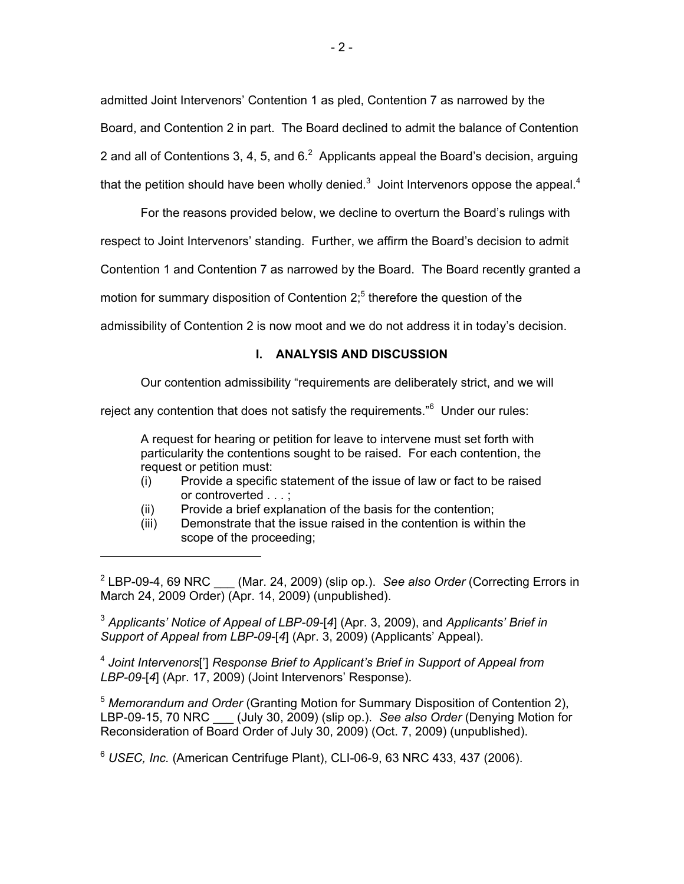admitted Joint Intervenors' Contention 1 as pled, Contention 7 as narrowed by the Board, and Contention 2 in part. The Board declined to admit the balance of Contention 2 and all of Contentions 3, 4, 5, and  $6<sup>2</sup>$  Applicants appeal the Board's decision, arguing that the petition should have been wholly denied.<sup>3</sup> Joint Intervenors oppose the appeal.<sup>4</sup>

For the reasons provided below, we decline to overturn the Board's rulings with respect to Joint Intervenors' standing. Further, we affirm the Board's decision to admit

Contention 1 and Contention 7 as narrowed by the Board. The Board recently granted a

motion for summary disposition of Contention  $2<sup>5</sup>$  therefore the question of the

admissibility of Contention 2 is now moot and we do not address it in today's decision.

## **I. ANALYSIS AND DISCUSSION**

Our contention admissibility "requirements are deliberately strict, and we will

reject any contention that does not satisfy the requirements."<sup>6</sup> Under our rules:

A request for hearing or petition for leave to intervene must set forth with particularity the contentions sought to be raised. For each contention, the request or petition must:

- (i) Provide a specific statement of the issue of law or fact to be raised or controverted . . . ;
- (ii) Provide a brief explanation of the basis for the contention;

-

(iii) Demonstrate that the issue raised in the contention is within the scope of the proceeding;

<sup>3</sup> *Applicants' Notice of Appeal of LBP-09-*[*4*] (Apr. 3, 2009), and *Applicants' Brief in Support of Appeal from LBP-09-*[*4*] (Apr. 3, 2009) (Applicants' Appeal).

<sup>4</sup> *Joint Intervenors*['] *Response Brief to Applicant's Brief in Support of Appeal from LBP-09-*[*4*] (Apr. 17, 2009) (Joint Intervenors' Response).

<sup>5</sup> *Memorandum and Order* (Granting Motion for Summary Disposition of Contention 2), LBP-09-15, 70 NRC \_\_\_ (July 30, 2009) (slip op.). *See also Order* (Denying Motion for Reconsideration of Board Order of July 30, 2009) (Oct. 7, 2009) (unpublished).

<sup>6</sup> *USEC, Inc.* (American Centrifuge Plant), CLI-06-9, 63 NRC 433, 437 (2006).

<sup>2</sup> LBP-09-4, 69 NRC \_\_\_ (Mar. 24, 2009) (slip op.). *See also Order* (Correcting Errors in March 24, 2009 Order) (Apr. 14, 2009) (unpublished).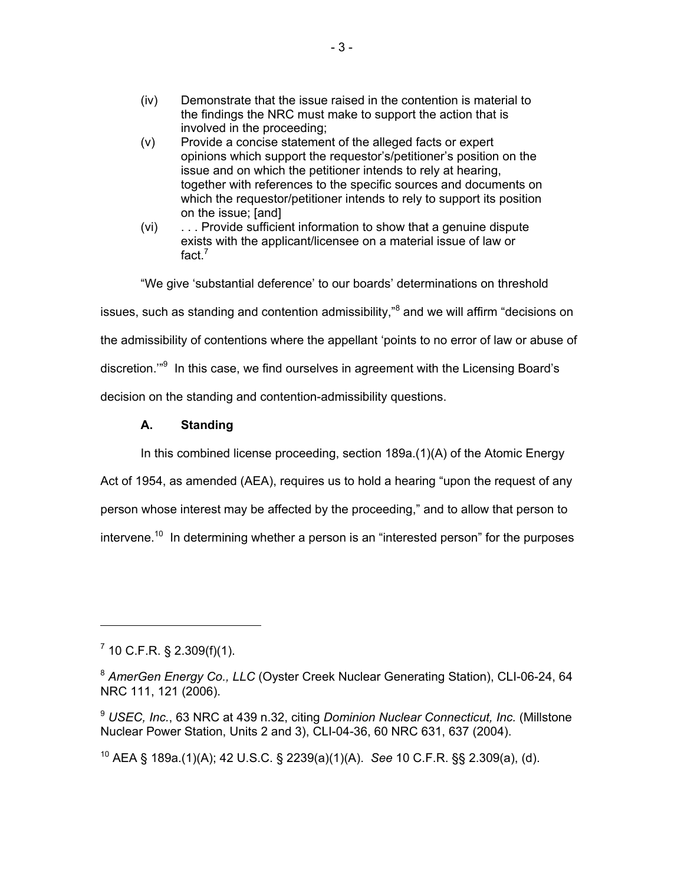- (iv) Demonstrate that the issue raised in the contention is material to the findings the NRC must make to support the action that is involved in the proceeding;
- (v) Provide a concise statement of the alleged facts or expert opinions which support the requestor's/petitioner's position on the issue and on which the petitioner intends to rely at hearing, together with references to the specific sources and documents on which the requestor/petitioner intends to rely to support its position on the issue; [and]
- (vi) . . . Provide sufficient information to show that a genuine dispute exists with the applicant/licensee on a material issue of law or fact. $<sup>7</sup>$ </sup>

"We give 'substantial deference' to our boards' determinations on threshold

issues, such as standing and contention admissibility,"<sup>8</sup> and we will affirm "decisions on

the admissibility of contentions where the appellant 'points to no error of law or abuse of

discretion."<sup>9</sup> In this case, we find ourselves in agreement with the Licensing Board's

decision on the standing and contention-admissibility questions.

#### **A. Standing**

In this combined license proceeding, section 189a.(1)(A) of the Atomic Energy

Act of 1954, as amended (AEA), requires us to hold a hearing "upon the request of any

person whose interest may be affected by the proceeding," and to allow that person to

intervene.<sup>10</sup> In determining whether a person is an "interested person" for the purposes

 $^7$  10 C.F.R. § 2.309(f)(1).

 $\overline{a}$ 

<sup>9</sup> *USEC, Inc.*, 63 NRC at 439 n.32, citing *Dominion Nuclear Connecticut, Inc.* (Millstone Nuclear Power Station, Units 2 and 3), CLI-04-36, 60 NRC 631, 637 (2004).

10 AEA § 189a.(1)(A); 42 U.S.C. § 2239(a)(1)(A). *See* 10 C.F.R. §§ 2.309(a), (d).

<sup>8</sup> *AmerGen Energy Co., LLC* (Oyster Creek Nuclear Generating Station), CLI-06-24, 64 NRC 111, 121 (2006).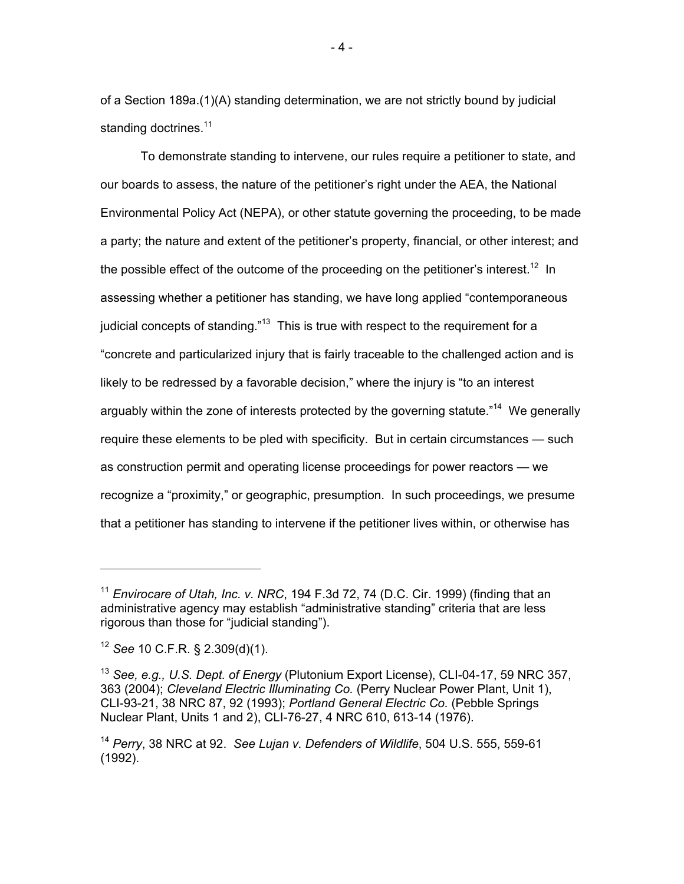of a Section 189a.(1)(A) standing determination, we are not strictly bound by judicial standing doctrines.<sup>11</sup>

To demonstrate standing to intervene, our rules require a petitioner to state, and our boards to assess, the nature of the petitioner's right under the AEA, the National Environmental Policy Act (NEPA), or other statute governing the proceeding, to be made a party; the nature and extent of the petitioner's property, financial, or other interest; and the possible effect of the outcome of the proceeding on the petitioner's interest.<sup>12</sup> In assessing whether a petitioner has standing, we have long applied "contemporaneous judicial concepts of standing."<sup>13</sup> This is true with respect to the requirement for a "concrete and particularized injury that is fairly traceable to the challenged action and is likely to be redressed by a favorable decision," where the injury is "to an interest arguably within the zone of interests protected by the governing statute."<sup>14</sup> We generally require these elements to be pled with specificity. But in certain circumstances — such as construction permit and operating license proceedings for power reactors — we recognize a "proximity," or geographic, presumption. In such proceedings, we presume that a petitioner has standing to intervene if the petitioner lives within, or otherwise has

 $\overline{a}$ 

<sup>&</sup>lt;sup>11</sup> *Envirocare of Utah, Inc. v. NRC*, 194 F.3d 72, 74 (D.C. Cir. 1999) (finding that an administrative agency may establish "administrative standing" criteria that are less rigorous than those for "judicial standing").

<sup>12</sup> *See* 10 C.F.R. § 2.309(d)(1).

<sup>13</sup> *See, e.g., U.S. Dept. of Energy* (Plutonium Export License), CLI-04-17, 59 NRC 357, 363 (2004); *Cleveland Electric Illuminating Co.* (Perry Nuclear Power Plant, Unit 1), CLI-93-21, 38 NRC 87, 92 (1993); *Portland General Electric Co.* (Pebble Springs Nuclear Plant, Units 1 and 2), CLI-76-27, 4 NRC 610, 613-14 (1976).

<sup>14</sup> *Perry*, 38 NRC at 92. *See Lujan v. Defenders of Wildlife*, 504 U.S. 555, 559-61 (1992).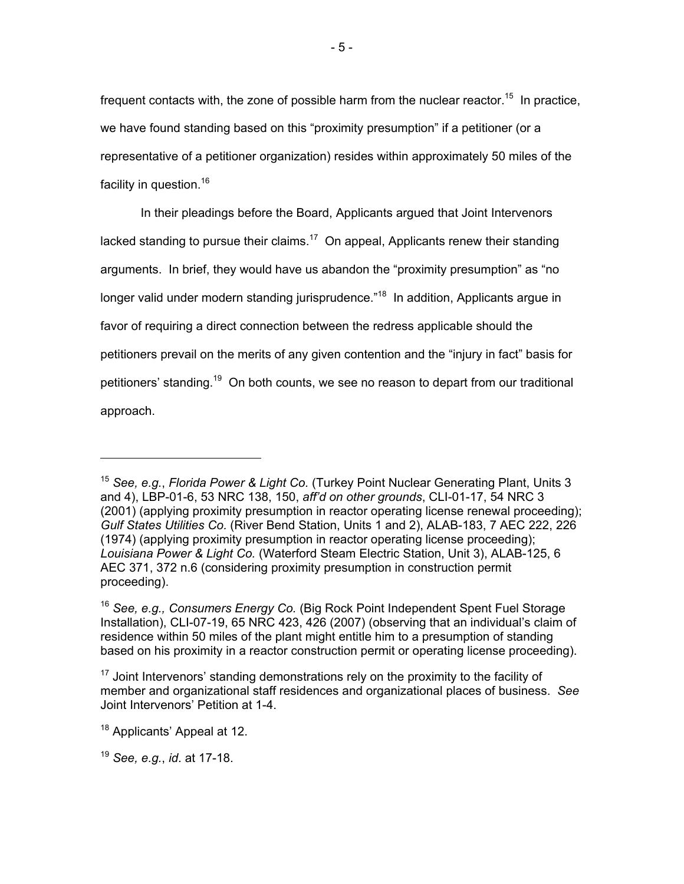frequent contacts with, the zone of possible harm from the nuclear reactor.<sup>15</sup> In practice, we have found standing based on this "proximity presumption" if a petitioner (or a representative of a petitioner organization) resides within approximately 50 miles of the facility in question.<sup>16</sup>

In their pleadings before the Board, Applicants argued that Joint Intervenors lacked standing to pursue their claims.<sup>17</sup> On appeal, Applicants renew their standing arguments. In brief, they would have us abandon the "proximity presumption" as "no longer valid under modern standing jurisprudence."<sup>18</sup> In addition, Applicants argue in favor of requiring a direct connection between the redress applicable should the petitioners prevail on the merits of any given contention and the "injury in fact" basis for petitioners' standing.<sup>19</sup> On both counts, we see no reason to depart from our traditional approach.

-

<sup>15</sup> *See, e.g.*, *Florida Power & Light Co.* (Turkey Point Nuclear Generating Plant, Units 3 and 4), LBP-01-6, 53 NRC 138, 150, *aff'd on other grounds*, CLI-01-17, 54 NRC 3 (2001) (applying proximity presumption in reactor operating license renewal proceeding); *Gulf States Utilities Co.* (River Bend Station, Units 1 and 2), ALAB-183, 7 AEC 222, 226 (1974) (applying proximity presumption in reactor operating license proceeding); *Louisiana Power & Light Co.* (Waterford Steam Electric Station, Unit 3), ALAB-125, 6 AEC 371, 372 n.6 (considering proximity presumption in construction permit proceeding).

<sup>16</sup> *See, e.g., Consumers Energy Co.* (Big Rock Point Independent Spent Fuel Storage Installation), CLI-07-19, 65 NRC 423, 426 (2007) (observing that an individual's claim of residence within 50 miles of the plant might entitle him to a presumption of standing based on his proximity in a reactor construction permit or operating license proceeding).

 $17$  Joint Intervenors' standing demonstrations rely on the proximity to the facility of member and organizational staff residences and organizational places of business. *See* Joint Intervenors' Petition at 1-4.

<sup>&</sup>lt;sup>18</sup> Applicants' Appeal at 12.

<sup>19</sup> *See, e.g.*, *id*. at 17-18.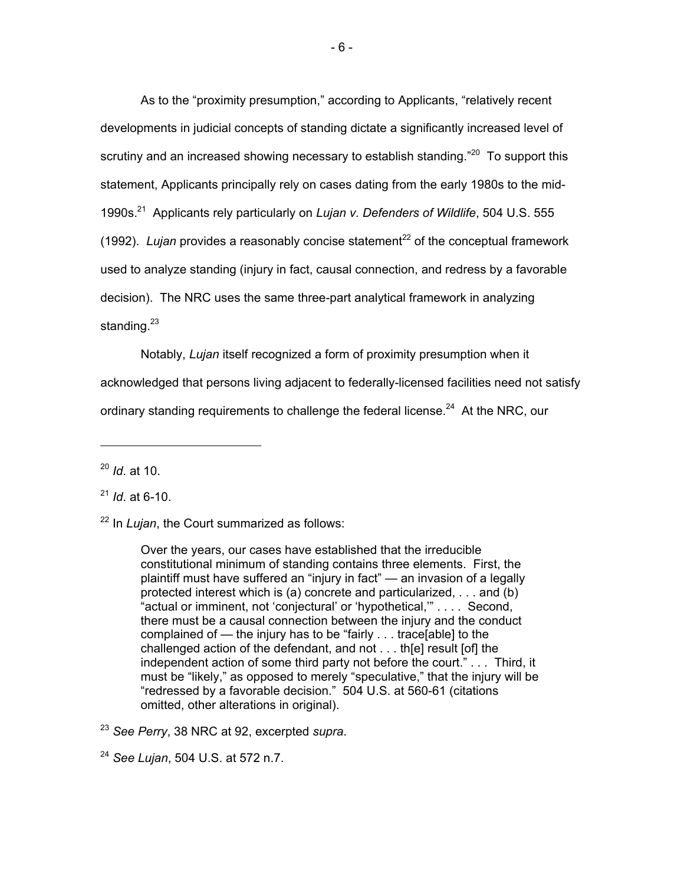As to the "proximity presumption," according to Applicants, "relatively recent developments in judicial concepts of standing dictate a significantly increased level of scrutiny and an increased showing necessary to establish standing.<sup>"20</sup> To support this statement, Applicants principally rely on cases dating from the early 1980s to the mid-1990s.21 Applicants rely particularly on *Lujan v. Defenders of Wildlife*, 504 U.S. 555  $(1992)$ . *Lujan* provides a reasonably concise statement<sup>22</sup> of the conceptual framework used to analyze standing (injury in fact, causal connection, and redress by a favorable decision). The NRC uses the same three-part analytical framework in analyzing standing. $23$ 

Notably, *Lujan* itself recognized a form of proximity presumption when it acknowledged that persons living adjacent to federally-licensed facilities need not satisfy ordinary standing requirements to challenge the federal license.<sup>24</sup> At the NRC, our

<sup>20</sup> *Id*. at 10.

<sup>21</sup> *Id*. at 6-10.

22 In *Lujan*, the Court summarized as follows:

Over the years, our cases have established that the irreducible constitutional minimum of standing contains three elements. First, the plaintiff must have suffered an "injury in fact" — an invasion of a legally protected interest which is (a) concrete and particularized, . . . and (b) "actual or imminent, not 'conjectural' or 'hypothetical,'" . . . . Second, there must be a causal connection between the injury and the conduct complained of — the injury has to be "fairly . . . trace[able] to the challenged action of the defendant, and not . . . th[e] result [of] the independent action of some third party not before the court." . . . Third, it must be "likely," as opposed to merely "speculative," that the injury will be "redressed by a favorable decision." 504 U.S. at 560-61 (citations omitted, other alterations in original).

<sup>23</sup> *See Perry*, 38 NRC at 92, excerpted *supra*.

<sup>24</sup> *See Lujan*, 504 U.S. at 572 n.7.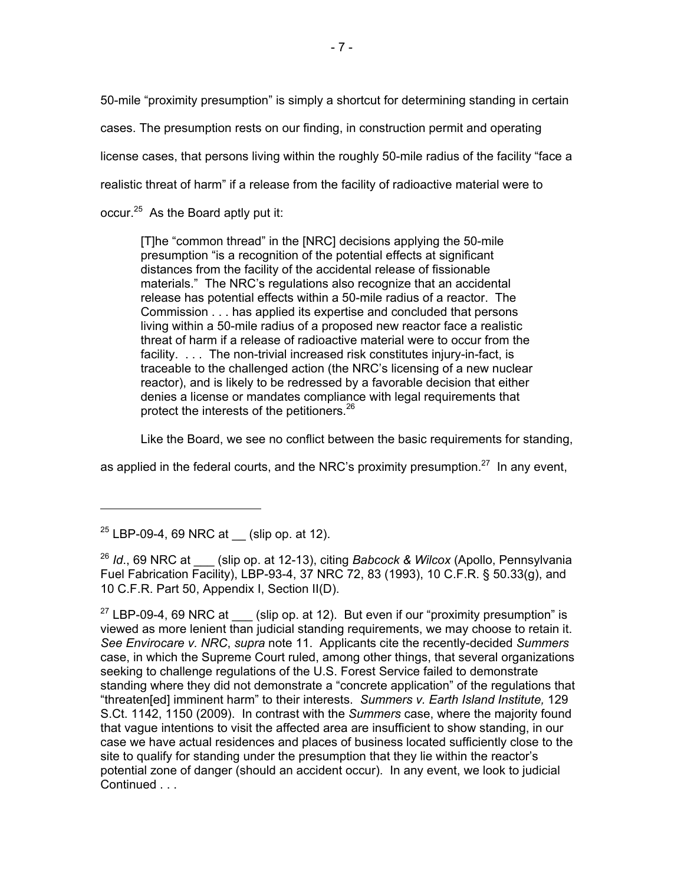50-mile "proximity presumption" is simply a shortcut for determining standing in certain

cases. The presumption rests on our finding, in construction permit and operating

license cases, that persons living within the roughly 50-mile radius of the facility "face a

realistic threat of harm" if a release from the facility of radioactive material were to

occur.<sup>25</sup> As the Board aptly put it:

[T]he "common thread" in the [NRC] decisions applying the 50-mile presumption "is a recognition of the potential effects at significant distances from the facility of the accidental release of fissionable materials." The NRC's regulations also recognize that an accidental release has potential effects within a 50-mile radius of a reactor. The Commission . . . has applied its expertise and concluded that persons living within a 50-mile radius of a proposed new reactor face a realistic threat of harm if a release of radioactive material were to occur from the facility. . . . The non-trivial increased risk constitutes injury-in-fact, is traceable to the challenged action (the NRC's licensing of a new nuclear reactor), and is likely to be redressed by a favorable decision that either denies a license or mandates compliance with legal requirements that protect the interests of the petitioners.<sup>26</sup>

Like the Board, we see no conflict between the basic requirements for standing,

as applied in the federal courts, and the NRC's proximity presumption. $27$  In any event,

-

 $25$  LBP-09-4, 69 NRC at \_\_(slip op. at 12).

<sup>26</sup> *Id*., 69 NRC at \_\_\_ (slip op. at 12-13), citing *Babcock & Wilcox* (Apollo, Pennsylvania Fuel Fabrication Facility), LBP-93-4, 37 NRC 72, 83 (1993), 10 C.F.R. § 50.33(g), and 10 C.F.R. Part 50, Appendix I, Section II(D).

 $27$  LBP-09-4, 69 NRC at (slip op. at 12). But even if our "proximity presumption" is viewed as more lenient than judicial standing requirements, we may choose to retain it. *See Envirocare v. NRC*, *supra* note 11. Applicants cite the recently-decided *Summers* case, in which the Supreme Court ruled, among other things, that several organizations seeking to challenge regulations of the U.S. Forest Service failed to demonstrate standing where they did not demonstrate a "concrete application" of the regulations that "threaten[ed] imminent harm" to their interests. *Summers v. Earth Island Institute,* 129 S.Ct. 1142, 1150 (2009). In contrast with the *Summers* case, where the majority found that vague intentions to visit the affected area are insufficient to show standing, in our case we have actual residences and places of business located sufficiently close to the site to qualify for standing under the presumption that they lie within the reactor's potential zone of danger (should an accident occur). In any event, we look to judicial Continued . . .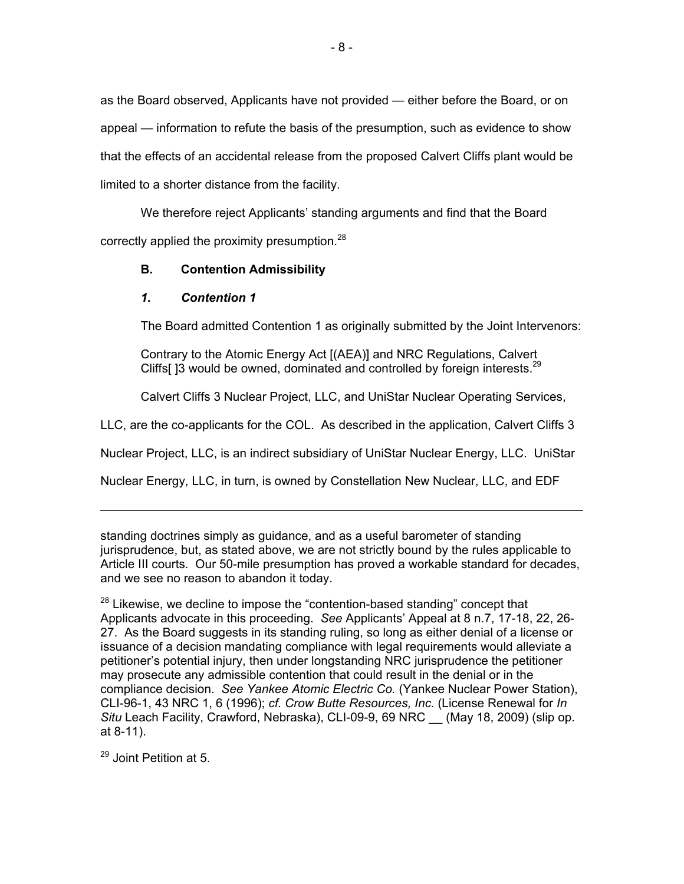as the Board observed, Applicants have not provided — either before the Board, or on appeal — information to refute the basis of the presumption, such as evidence to show that the effects of an accidental release from the proposed Calvert Cliffs plant would be limited to a shorter distance from the facility.

We therefore reject Applicants' standing arguments and find that the Board correctly applied the proximity presumption.<sup>28</sup>

## **B. Contention Admissibility**

## *1. Contention 1*

The Board admitted Contention 1 as originally submitted by the Joint Intervenors:

Contrary to the Atomic Energy Act [(AEA)] and NRC Regulations, Calvert Cliffs[  $3$  would be owned, dominated and controlled by foreign interests.<sup>29</sup>

Calvert Cliffs 3 Nuclear Project, LLC, and UniStar Nuclear Operating Services,

LLC, are the co-applicants for the COL. As described in the application, Calvert Cliffs 3

Nuclear Project, LLC, is an indirect subsidiary of UniStar Nuclear Energy, LLC. UniStar

Nuclear Energy, LLC, in turn, is owned by Constellation New Nuclear, LLC, and EDF

standing doctrines simply as guidance, and as a useful barometer of standing jurisprudence, but, as stated above, we are not strictly bound by the rules applicable to Article III courts*.* Our 50-mile presumption has proved a workable standard for decades, and we see no reason to abandon it today.

 $28$  Likewise, we decline to impose the "contention-based standing" concept that Applicants advocate in this proceeding. *See* Applicants' Appeal at 8 n.7, 17-18, 22, 26- 27. As the Board suggests in its standing ruling, so long as either denial of a license or issuance of a decision mandating compliance with legal requirements would alleviate a petitioner's potential injury, then under longstanding NRC jurisprudence the petitioner may prosecute any admissible contention that could result in the denial or in the compliance decision. *See Yankee Atomic Electric Co.* (Yankee Nuclear Power Station), CLI-96-1, 43 NRC 1, 6 (1996); *cf. Crow Butte Resources, Inc.* (License Renewal for *In Situ* Leach Facility, Crawford, Nebraska), CLI-09-9, 69 NRC \_\_ (May 18, 2009) (slip op. at 8-11).

29 Joint Petition at 5.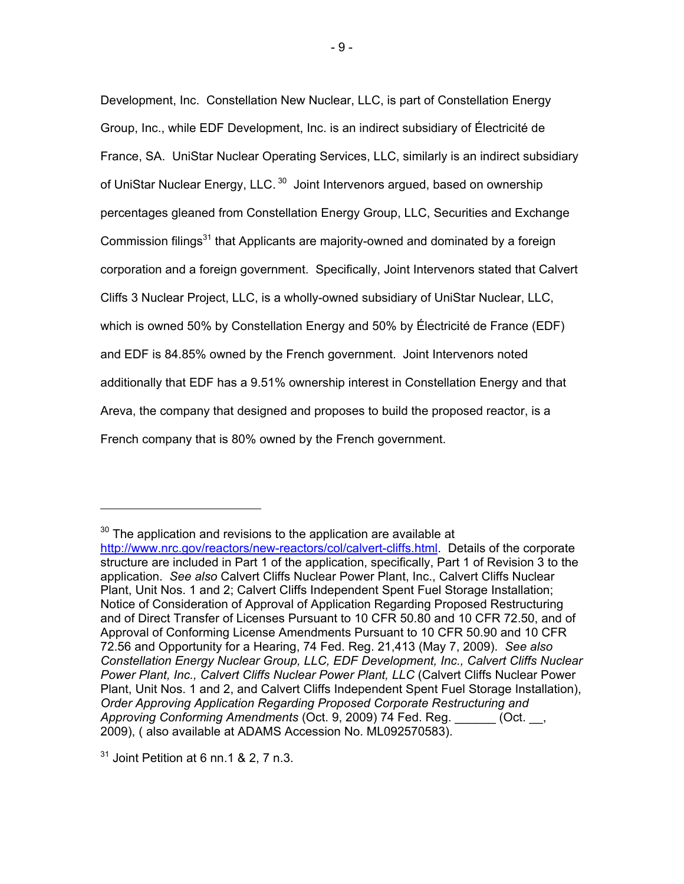Development, Inc. Constellation New Nuclear, LLC, is part of Constellation Energy Group, Inc., while EDF Development, Inc. is an indirect subsidiary of Électricité de France, SA. UniStar Nuclear Operating Services, LLC, similarly is an indirect subsidiary of UniStar Nuclear Energy, LLC.<sup>30</sup> Joint Intervenors argued, based on ownership percentages gleaned from Constellation Energy Group, LLC, Securities and Exchange Commission filings<sup>31</sup> that Applicants are majority-owned and dominated by a foreign corporation and a foreign government. Specifically, Joint Intervenors stated that Calvert Cliffs 3 Nuclear Project, LLC, is a wholly-owned subsidiary of UniStar Nuclear, LLC, which is owned 50% by Constellation Energy and 50% by Électricité de France (EDF) and EDF is 84.85% owned by the French government. Joint Intervenors noted additionally that EDF has a 9.51% ownership interest in Constellation Energy and that Areva, the company that designed and proposes to build the proposed reactor, is a French company that is 80% owned by the French government.

 $31$  Joint Petition at 6 nn.1 & 2, 7 n.3.

 $30$  The application and revisions to the application are available at http://www.nrc.gov/reactors/new-reactors/col/calvert-cliffs.html. Details of the corporate structure are included in Part 1 of the application, specifically, Part 1 of Revision 3 to the application. *See also* Calvert Cliffs Nuclear Power Plant, Inc., Calvert Cliffs Nuclear Plant, Unit Nos. 1 and 2; Calvert Cliffs Independent Spent Fuel Storage Installation; Notice of Consideration of Approval of Application Regarding Proposed Restructuring and of Direct Transfer of Licenses Pursuant to 10 CFR 50.80 and 10 CFR 72.50, and of Approval of Conforming License Amendments Pursuant to 10 CFR 50.90 and 10 CFR 72.56 and Opportunity for a Hearing, 74 Fed. Reg. 21,413 (May 7, 2009). *See also Constellation Energy Nuclear Group, LLC, EDF Development, Inc., Calvert Cliffs Nuclear Power Plant, Inc., Calvert Cliffs Nuclear Power Plant, LLC* (Calvert Cliffs Nuclear Power Plant, Unit Nos. 1 and 2, and Calvert Cliffs Independent Spent Fuel Storage Installation), *Order Approving Application Regarding Proposed Corporate Restructuring and Approving Conforming Amendments* (Oct. 9, 2009) 74 Fed. Reg. \_\_\_\_\_\_ (Oct. \_\_, 2009), ( also available at ADAMS Accession No. ML092570583).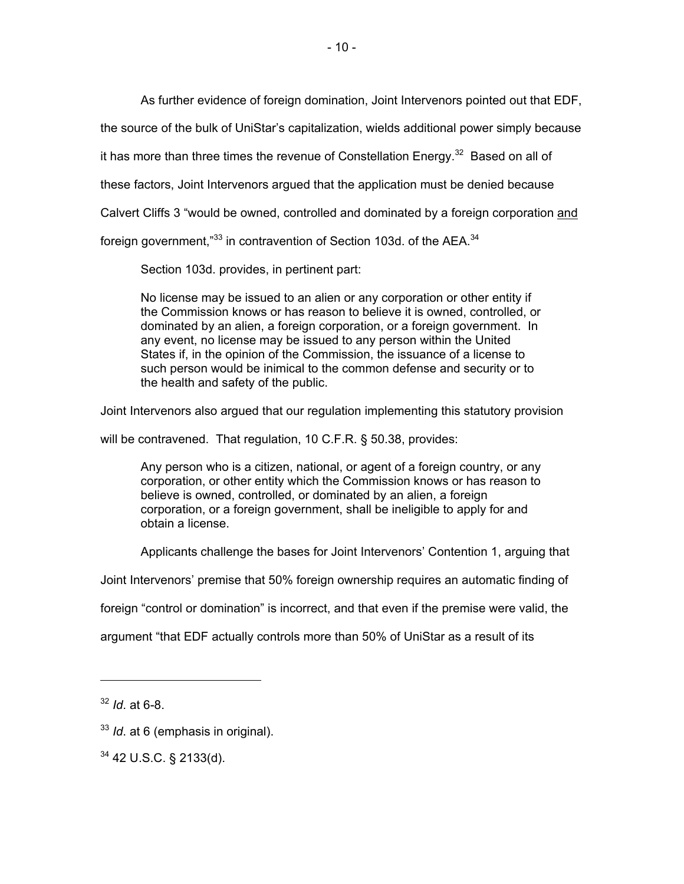As further evidence of foreign domination, Joint Intervenors pointed out that EDF,

the source of the bulk of UniStar's capitalization, wields additional power simply because

it has more than three times the revenue of Constellation Energy.<sup>32</sup> Based on all of

these factors, Joint Intervenors argued that the application must be denied because

Calvert Cliffs 3 "would be owned, controlled and dominated by a foreign corporation and

foreign government." $33$  in contravention of Section 103d, of the AEA. $34$ 

Section 103d. provides, in pertinent part:

No license may be issued to an alien or any corporation or other entity if the Commission knows or has reason to believe it is owned, controlled, or dominated by an alien, a foreign corporation, or a foreign government. In any event, no license may be issued to any person within the United States if, in the opinion of the Commission, the issuance of a license to such person would be inimical to the common defense and security or to the health and safety of the public.

Joint Intervenors also argued that our regulation implementing this statutory provision

will be contravened. That regulation, 10 C.F.R. § 50.38, provides:

Any person who is a citizen, national, or agent of a foreign country, or any corporation, or other entity which the Commission knows or has reason to believe is owned, controlled, or dominated by an alien, a foreign corporation, or a foreign government, shall be ineligible to apply for and obtain a license.

Applicants challenge the bases for Joint Intervenors' Contention 1, arguing that

Joint Intervenors' premise that 50% foreign ownership requires an automatic finding of

foreign "control or domination" is incorrect, and that even if the premise were valid, the

argument "that EDF actually controls more than 50% of UniStar as a result of its

-

<sup>32</sup> *Id*. at 6-8.

<sup>33</sup> *Id*. at 6 (emphasis in original).

<sup>34 42</sup> U.S.C. § 2133(d).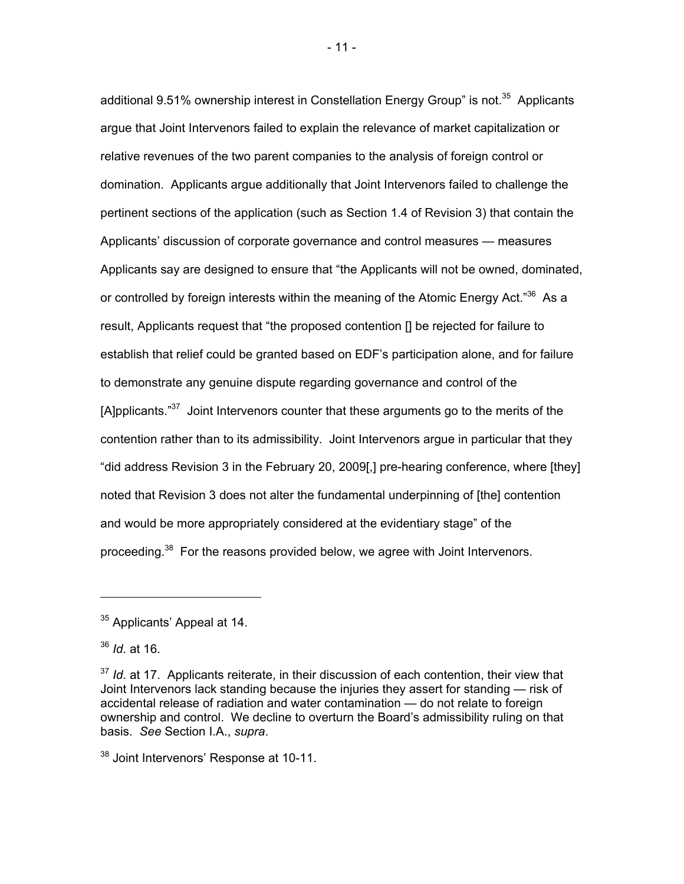additional 9.51% ownership interest in Constellation Energy Group" is not.<sup>35</sup> Applicants argue that Joint Intervenors failed to explain the relevance of market capitalization or relative revenues of the two parent companies to the analysis of foreign control or domination. Applicants argue additionally that Joint Intervenors failed to challenge the pertinent sections of the application (such as Section 1.4 of Revision 3) that contain the Applicants' discussion of corporate governance and control measures — measures Applicants say are designed to ensure that "the Applicants will not be owned, dominated, or controlled by foreign interests within the meaning of the Atomic Energy Act."<sup>36</sup> As a result, Applicants request that "the proposed contention [] be rejected for failure to establish that relief could be granted based on EDF's participation alone, and for failure to demonstrate any genuine dispute regarding governance and control of the [A]pplicants. $37$  Joint Intervenors counter that these arguments go to the merits of the contention rather than to its admissibility. Joint Intervenors argue in particular that they "did address Revision 3 in the February 20, 2009[,] pre-hearing conference, where [they] noted that Revision 3 does not alter the fundamental underpinning of [the] contention and would be more appropriately considered at the evidentiary stage" of the proceeding.<sup>38</sup> For the reasons provided below, we agree with Joint Intervenors.

-

- 11 -

<sup>&</sup>lt;sup>35</sup> Applicants' Appeal at 14.

<sup>36</sup> *Id*. at 16.

<sup>&</sup>lt;sup>37</sup> *Id.* at 17. Applicants reiterate, in their discussion of each contention, their view that Joint Intervenors lack standing because the injuries they assert for standing — risk of accidental release of radiation and water contamination — do not relate to foreign ownership and control. We decline to overturn the Board's admissibility ruling on that basis. *See* Section I.A., *supra*.

<sup>38</sup> Joint Intervenors' Response at 10-11.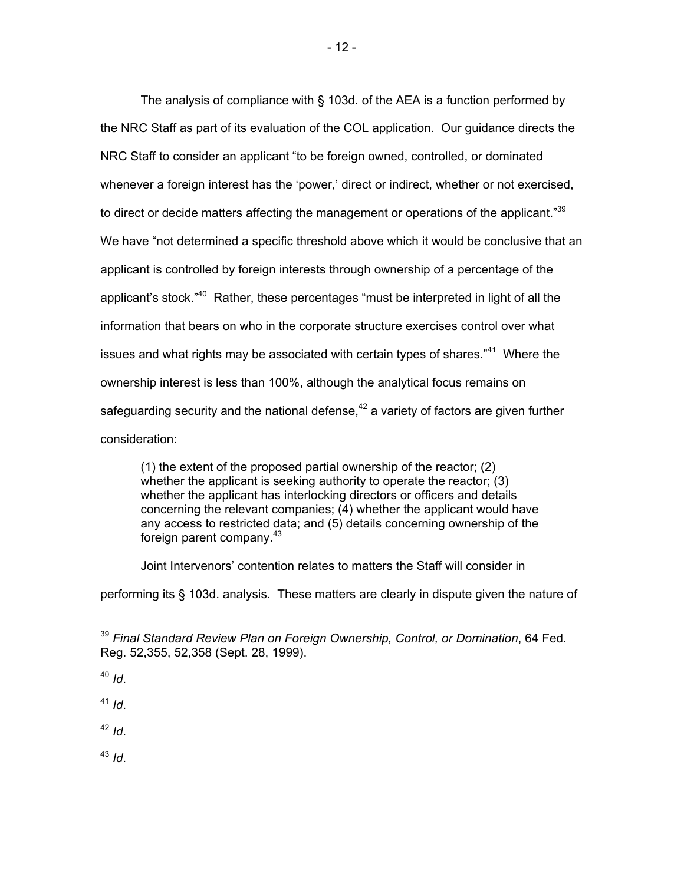The analysis of compliance with § 103d. of the AEA is a function performed by the NRC Staff as part of its evaluation of the COL application. Our guidance directs the NRC Staff to consider an applicant "to be foreign owned, controlled, or dominated whenever a foreign interest has the 'power,' direct or indirect, whether or not exercised, to direct or decide matters affecting the management or operations of the applicant."<sup>39</sup> We have "not determined a specific threshold above which it would be conclusive that an applicant is controlled by foreign interests through ownership of a percentage of the applicant's stock."<sup>40</sup> Rather, these percentages "must be interpreted in light of all the information that bears on who in the corporate structure exercises control over what issues and what rights may be associated with certain types of shares."41 Where the ownership interest is less than 100%, although the analytical focus remains on safeguarding security and the national defense,  $42$  a variety of factors are given further consideration:

(1) the extent of the proposed partial ownership of the reactor; (2) whether the applicant is seeking authority to operate the reactor; (3) whether the applicant has interlocking directors or officers and details concerning the relevant companies; (4) whether the applicant would have any access to restricted data; and (5) details concerning ownership of the foreign parent company. $43$ 

Joint Intervenors' contention relates to matters the Staff will consider in

performing its § 103d. analysis. These matters are clearly in dispute given the nature of

<sup>41</sup> *Id*.

<sup>42</sup> *Id*.

<sup>43</sup> *Id*.

<sup>39</sup> *Final Standard Review Plan on Foreign Ownership, Control, or Domination*, 64 Fed. Reg. 52,355, 52,358 (Sept. 28, 1999).

<sup>40</sup> *Id*.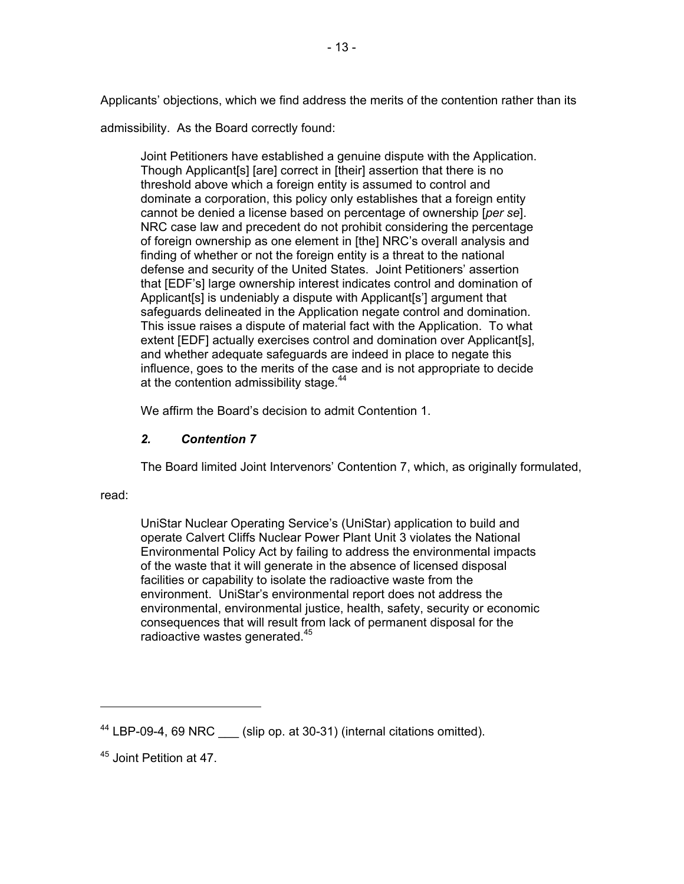Applicants' objections, which we find address the merits of the contention rather than its

admissibility. As the Board correctly found:

Joint Petitioners have established a genuine dispute with the Application. Though Applicant[s] [are] correct in [their] assertion that there is no threshold above which a foreign entity is assumed to control and dominate a corporation, this policy only establishes that a foreign entity cannot be denied a license based on percentage of ownership [*per se*]. NRC case law and precedent do not prohibit considering the percentage of foreign ownership as one element in [the] NRC's overall analysis and finding of whether or not the foreign entity is a threat to the national defense and security of the United States. Joint Petitioners' assertion that [EDF's] large ownership interest indicates control and domination of Applicant[s] is undeniably a dispute with Applicant[s'] argument that safeguards delineated in the Application negate control and domination. This issue raises a dispute of material fact with the Application. To what extent [EDF] actually exercises control and domination over Applicant[s], and whether adequate safeguards are indeed in place to negate this influence, goes to the merits of the case and is not appropriate to decide at the contention admissibility stage.<sup>44</sup>

We affirm the Board's decision to admit Contention 1.

# *2. Contention 7*

The Board limited Joint Intervenors' Contention 7, which, as originally formulated,

read:

-

UniStar Nuclear Operating Service's (UniStar) application to build and operate Calvert Cliffs Nuclear Power Plant Unit 3 violates the National Environmental Policy Act by failing to address the environmental impacts of the waste that it will generate in the absence of licensed disposal facilities or capability to isolate the radioactive waste from the environment. UniStar's environmental report does not address the environmental, environmental justice, health, safety, security or economic consequences that will result from lack of permanent disposal for the radioactive wastes generated.<sup>45</sup>

<sup>&</sup>lt;sup>44</sup> LBP-09-4, 69 NRC (slip op. at 30-31) (internal citations omitted).

<sup>45</sup> Joint Petition at 47.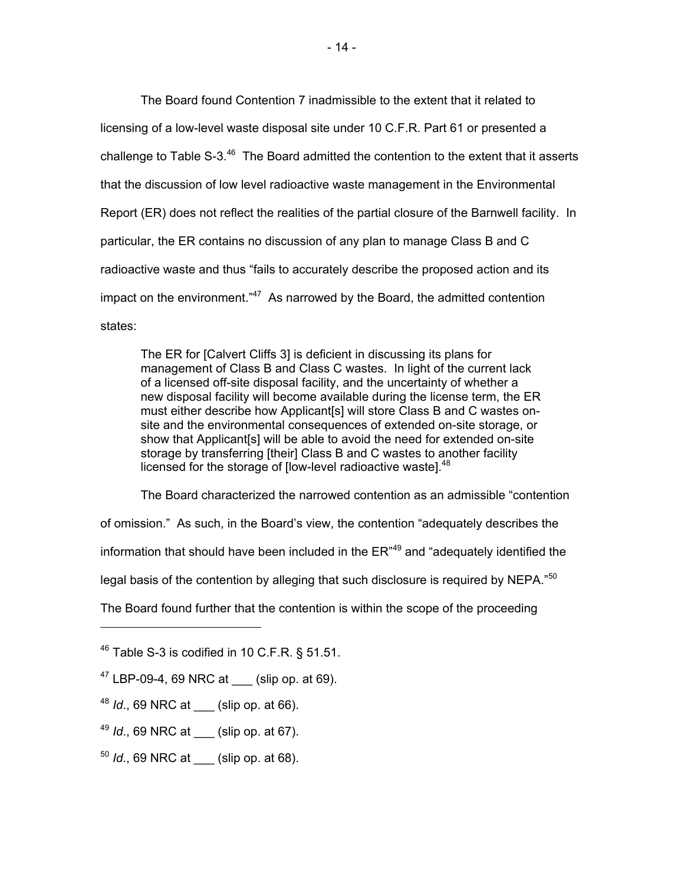The Board found Contention 7 inadmissible to the extent that it related to licensing of a low-level waste disposal site under 10 C.F.R. Part 61 or presented a challenge to Table S-3. $46$  The Board admitted the contention to the extent that it asserts that the discussion of low level radioactive waste management in the Environmental Report (ER) does not reflect the realities of the partial closure of the Barnwell facility. In particular, the ER contains no discussion of any plan to manage Class B and C radioactive waste and thus "fails to accurately describe the proposed action and its impact on the environment."<sup>47</sup> As narrowed by the Board, the admitted contention states:

The ER for [Calvert Cliffs 3] is deficient in discussing its plans for management of Class B and Class C wastes. In light of the current lack of a licensed off-site disposal facility, and the uncertainty of whether a new disposal facility will become available during the license term, the ER must either describe how Applicant[s] will store Class B and C wastes onsite and the environmental consequences of extended on-site storage, or show that Applicant[s] will be able to avoid the need for extended on-site storage by transferring [their] Class B and C wastes to another facility licensed for the storage of [low-level radioactive waste].<sup>48</sup>

The Board characterized the narrowed contention as an admissible "contention

of omission." As such, in the Board's view, the contention "adequately describes the

information that should have been included in the  $ER^{49}$  and "adequately identified the

legal basis of the contention by alleging that such disclosure is required by NEPA. $^{50}$ 

The Board found further that the contention is within the scope of the proceeding

48 *Id.*, 69 NRC at (slip op. at 66).

- <sup>49</sup> *Id*., 69 NRC at \_\_\_ (slip op. at 67).
- <sup>50</sup> *Id*., 69 NRC at \_\_\_ (slip op. at 68).

 $46$  Table S-3 is codified in 10 C.F.R. § 51.51.

 $47$  LBP-09-4, 69 NRC at (slip op. at 69).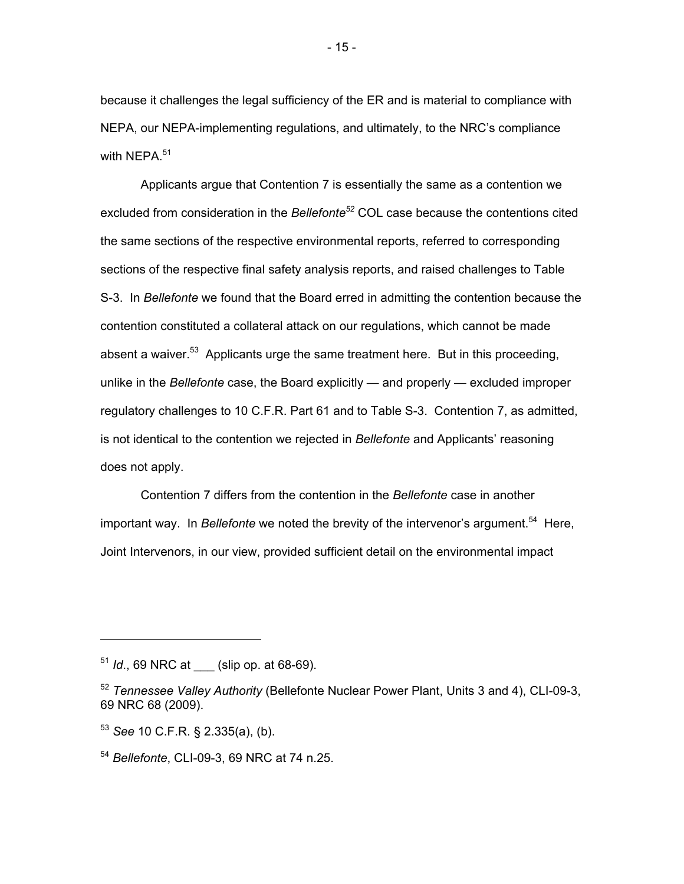because it challenges the legal sufficiency of the ER and is material to compliance with NEPA, our NEPA-implementing regulations, and ultimately, to the NRC's compliance with NEPA.<sup>51</sup>

Applicants argue that Contention 7 is essentially the same as a contention we excluded from consideration in the *Bellefonte52* COL case because the contentions cited the same sections of the respective environmental reports, referred to corresponding sections of the respective final safety analysis reports, and raised challenges to Table S-3. In *Bellefonte* we found that the Board erred in admitting the contention because the contention constituted a collateral attack on our regulations, which cannot be made absent a waiver.<sup>53</sup> Applicants urge the same treatment here. But in this proceeding, unlike in the *Bellefonte* case, the Board explicitly — and properly — excluded improper regulatory challenges to 10 C.F.R. Part 61 and to Table S-3. Contention 7, as admitted, is not identical to the contention we rejected in *Bellefonte* and Applicants' reasoning does not apply.

Contention 7 differs from the contention in the *Bellefonte* case in another important way. In *Bellefonte* we noted the brevity of the intervenor's argument.<sup>54</sup> Here, Joint Intervenors, in our view, provided sufficient detail on the environmental impact

<sup>&</sup>lt;sup>51</sup> *Id.*, 69 NRC at (slip op. at 68-69).

<sup>52</sup> *Tennessee Valley Authority* (Bellefonte Nuclear Power Plant, Units 3 and 4), CLI-09-3, 69 NRC 68 (2009).

<sup>53</sup> *See* 10 C.F.R. § 2.335(a), (b).

<sup>54</sup> *Bellefonte*, CLI-09-3, 69 NRC at 74 n.25.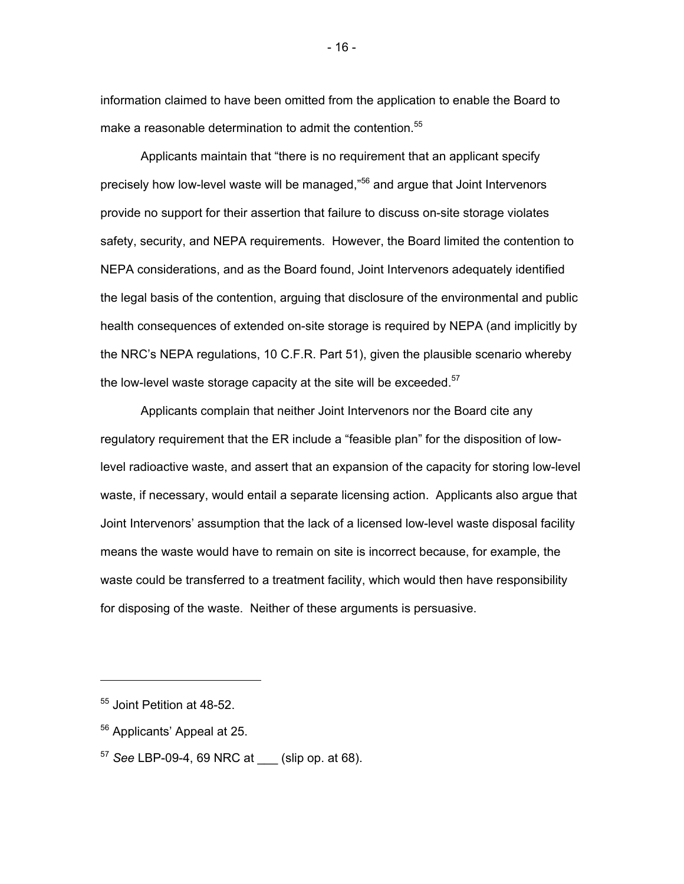information claimed to have been omitted from the application to enable the Board to make a reasonable determination to admit the contention.<sup>55</sup>

Applicants maintain that "there is no requirement that an applicant specify precisely how low-level waste will be managed,"<sup>56</sup> and argue that Joint Intervenors provide no support for their assertion that failure to discuss on-site storage violates safety, security, and NEPA requirements. However, the Board limited the contention to NEPA considerations, and as the Board found, Joint Intervenors adequately identified the legal basis of the contention, arguing that disclosure of the environmental and public health consequences of extended on-site storage is required by NEPA (and implicitly by the NRC's NEPA regulations, 10 C.F.R. Part 51), given the plausible scenario whereby the low-level waste storage capacity at the site will be exceeded. $57$ 

Applicants complain that neither Joint Intervenors nor the Board cite any regulatory requirement that the ER include a "feasible plan" for the disposition of lowlevel radioactive waste, and assert that an expansion of the capacity for storing low-level waste, if necessary, would entail a separate licensing action. Applicants also argue that Joint Intervenors' assumption that the lack of a licensed low-level waste disposal facility means the waste would have to remain on site is incorrect because, for example, the waste could be transferred to a treatment facility, which would then have responsibility for disposing of the waste. Neither of these arguments is persuasive.

-

<sup>55</sup> Joint Petition at 48-52.

<sup>56</sup> Applicants' Appeal at 25.

<sup>57</sup> *See* LBP-09-4, 69 NRC at \_\_\_ (slip op. at 68).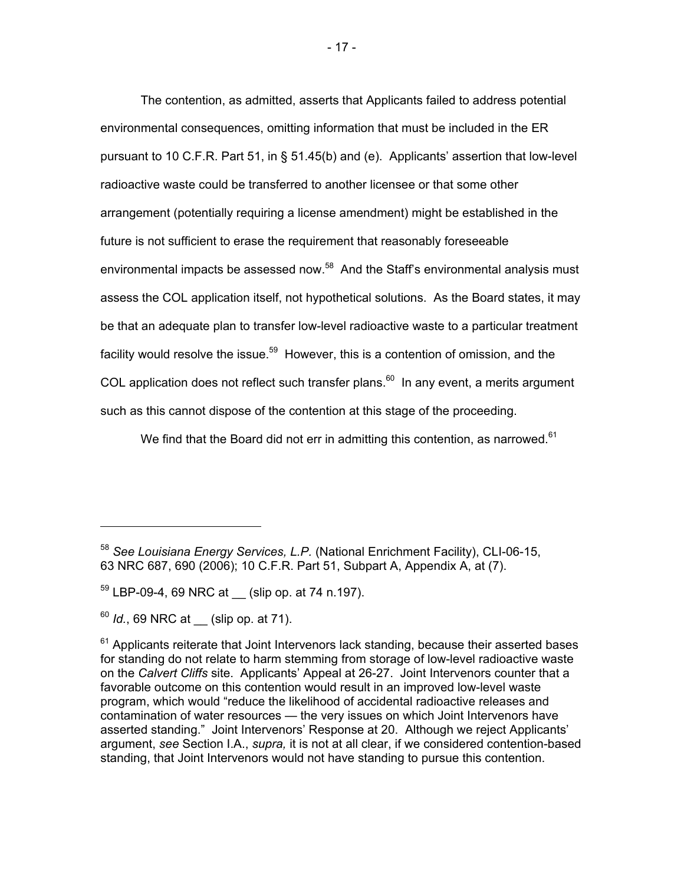The contention, as admitted, asserts that Applicants failed to address potential environmental consequences, omitting information that must be included in the ER pursuant to 10 C.F.R. Part 51, in § 51.45(b) and (e). Applicants' assertion that low-level radioactive waste could be transferred to another licensee or that some other arrangement (potentially requiring a license amendment) might be established in the future is not sufficient to erase the requirement that reasonably foreseeable environmental impacts be assessed now.<sup>58</sup> And the Staff's environmental analysis must assess the COL application itself, not hypothetical solutions. As the Board states, it may be that an adequate plan to transfer low-level radioactive waste to a particular treatment facility would resolve the issue.<sup>59</sup> However, this is a contention of omission, and the COL application does not reflect such transfer plans. $60$  In any event, a merits argument such as this cannot dispose of the contention at this stage of the proceeding.

We find that the Board did not err in admitting this contention, as narrowed. $61$ 

 $\overline{a}$ 

<sup>58</sup> *See Louisiana Energy Services, L.P.* (National Enrichment Facility), CLI-06-15, 63 NRC 687, 690 (2006); 10 C.F.R. Part 51, Subpart A, Appendix A, at (7).

 $59$  LBP-09-4, 69 NRC at  $\_$  (slip op. at 74 n.197).

<sup>&</sup>lt;sup>60</sup> *Id.*, 69 NRC at (slip op. at 71).

 $61$  Applicants reiterate that Joint Intervenors lack standing, because their asserted bases for standing do not relate to harm stemming from storage of low-level radioactive waste on the *Calvert Cliffs* site. Applicants' Appeal at 26-27. Joint Intervenors counter that a favorable outcome on this contention would result in an improved low-level waste program, which would "reduce the likelihood of accidental radioactive releases and contamination of water resources — the very issues on which Joint Intervenors have asserted standing." Joint Intervenors' Response at 20. Although we reject Applicants' argument, *see* Section I.A., *supra,* it is not at all clear, if we considered contention-based standing, that Joint Intervenors would not have standing to pursue this contention.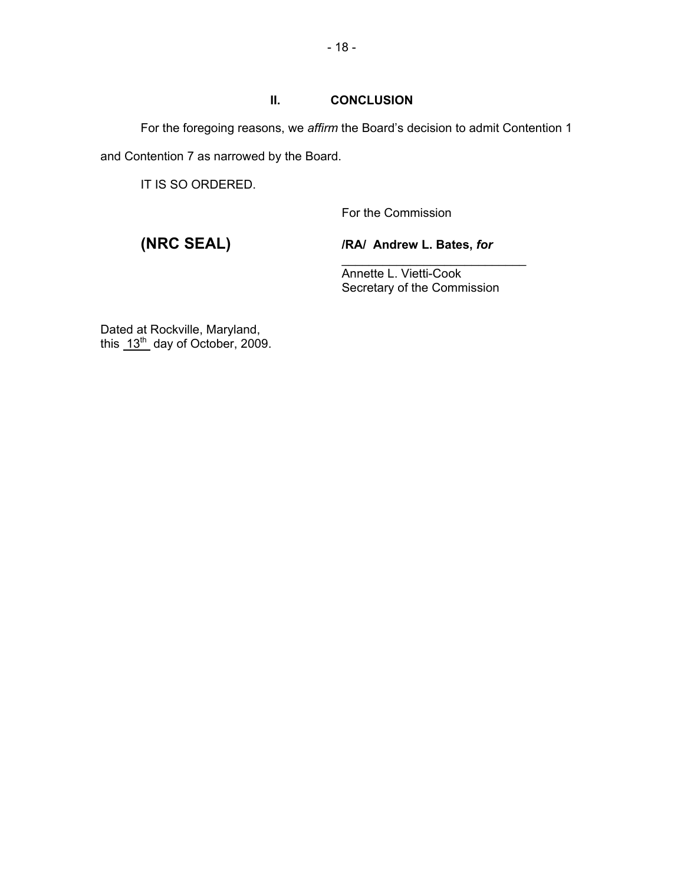## **II. CONCLUSION**

For the foregoing reasons, we *affirm* the Board's decision to admit Contention 1 and Contention 7 as narrowed by the Board.

 $\overline{\phantom{a}}$  , and the contract of the contract of the contract of the contract of the contract of the contract of the contract of the contract of the contract of the contract of the contract of the contract of the contrac

IT IS SO ORDERED.

For the Commission

**(NRC SEAL) /RA/ Andrew L. Bates,** *for*

 Annette L. Vietti-Cook Secretary of the Commission

Dated at Rockville, Maryland, this  $13<sup>th</sup>$  day of October, 2009.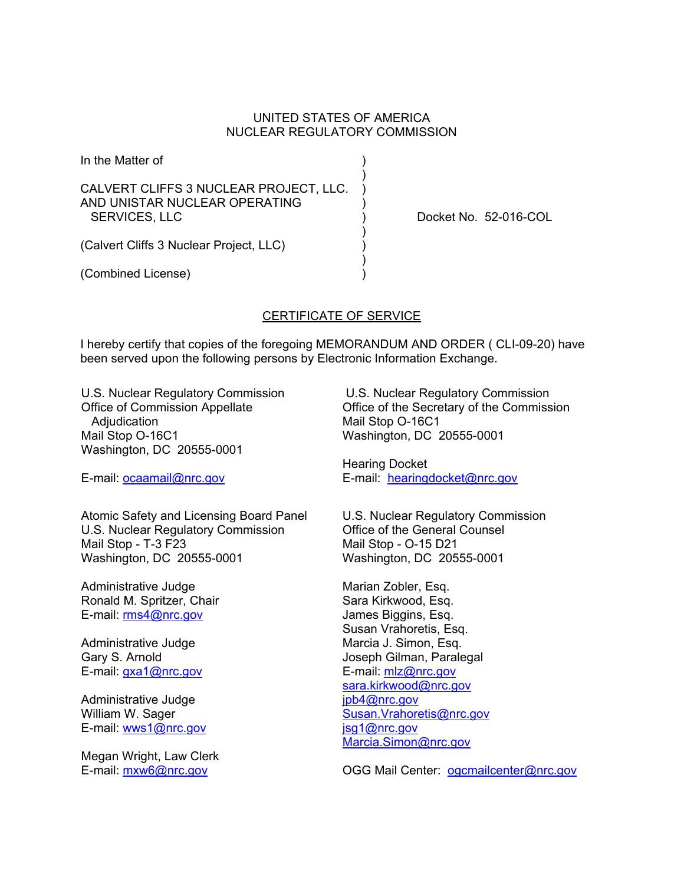#### UNITED STATES OF AMERICA NUCLEAR REGULATORY COMMISSION

In the Matter of ) ) and the contract of  $\mathcal{L}$ CALVERT CLIFFS 3 NUCLEAR PROJECT, LLC. ) AND UNISTAR NUCLEAR OPERATING ) SERVICES, LLC ) Docket No. 52-016-COL ) and the contract of  $\mathcal{L}$ (Calvert Cliffs 3 Nuclear Project, LLC) )  $)$ 

#### CERTIFICATE OF SERVICE

I hereby certify that copies of the foregoing MEMORANDUM AND ORDER ( CLI-09-20) have been served upon the following persons by Electronic Information Exchange.

U.S. Nuclear Regulatory Commission Office of Commission Appellate Adjudication Mail Stop O-16C1 Washington, DC 20555-0001

E-mail: ocaamail@nrc.gov

(Combined License) )

Atomic Safety and Licensing Board Panel U.S. Nuclear Regulatory Commission Mail Stop - T-3 F23 Washington, DC 20555-0001

Administrative Judge Ronald M. Spritzer, Chair E-mail: rms4@nrc.gov

Administrative Judge Gary S. Arnold E-mail: gxa1@nrc.gov

Administrative Judge William W. Sager E-mail: wws1@nrc.gov

Megan Wright, Law Clerk E-mail: mxw6@nrc.gov

 U.S. Nuclear Regulatory Commission Office of the Secretary of the Commission Mail Stop O-16C1 Washington, DC 20555-0001

Hearing Docket E-mail: hearingdocket@nrc.gov

U.S. Nuclear Regulatory Commission Office of the General Counsel Mail Stop - O-15 D21 Washington, DC 20555-0001

Marian Zobler, Esq. Sara Kirkwood, Esq. James Biggins, Esq. Susan Vrahoretis, Esq. Marcia J. Simon, Esq. Joseph Gilman, Paralegal E-mail: mlz@nrc.gov sara.kirkwood@nrc.gov jpb4@nrc.gov Susan.Vrahoretis@nrc.gov jsg1@nrc.gov Marcia.Simon@nrc.gov

OGG Mail Center: ogcmailcenter@nrc.gov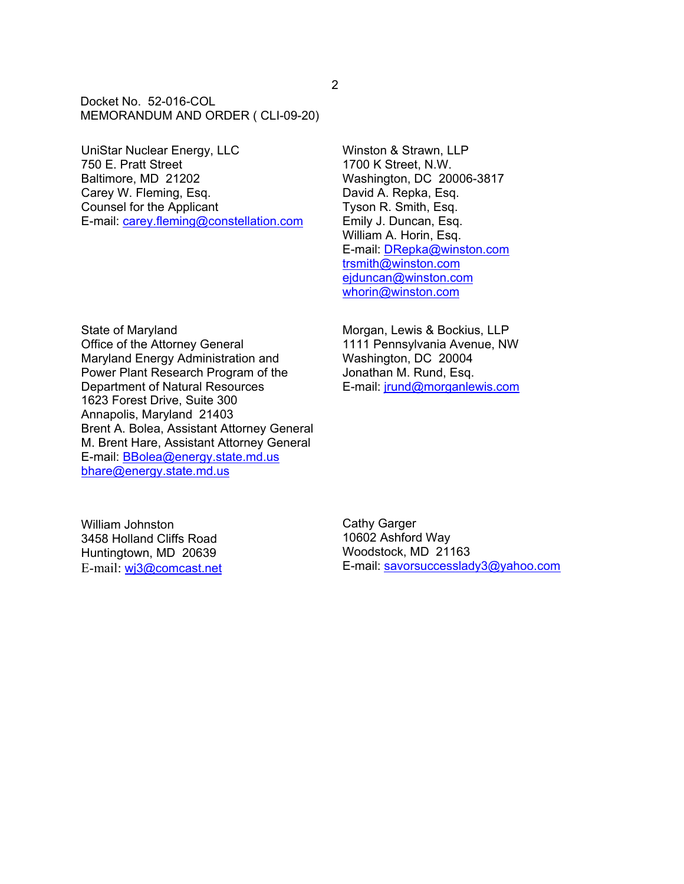Docket No. 52-016-COL MEMORANDUM AND ORDER ( CLI-09-20)

UniStar Nuclear Energy, LLC 750 E. Pratt Street Baltimore, MD 21202 Carey W. Fleming, Esq. Counsel for the Applicant E-mail: carey.fleming@constellation.com Winston & Strawn, LLP 1700 K Street, N.W. Washington, DC 20006-3817 David A. Repka, Esq. Tyson R. Smith, Esq. Emily J. Duncan, Esq. William A. Horin, Esq. E-mail: DRepka@winston.com trsmith@winston.com ejduncan@winston.com whorin@winston.com

State of Maryland Office of the Attorney General Maryland Energy Administration and Power Plant Research Program of the Department of Natural Resources 1623 Forest Drive, Suite 300 Annapolis, Maryland 21403 Brent A. Bolea, Assistant Attorney General M. Brent Hare, Assistant Attorney General E-mail: BBolea@energy.state.md.us bhare@energy.state.md.us

Morgan, Lewis & Bockius, LLP 1111 Pennsylvania Avenue, NW Washington, DC 20004 Jonathan M. Rund, Esq. E-mail: jrund@morganlewis.com

William Johnston 3458 Holland Cliffs Road Huntingtown, MD 20639 E-mail: wj3@comcast.net Cathy Garger 10602 Ashford Way Woodstock, MD 21163 E-mail: savorsuccesslady3@yahoo.com